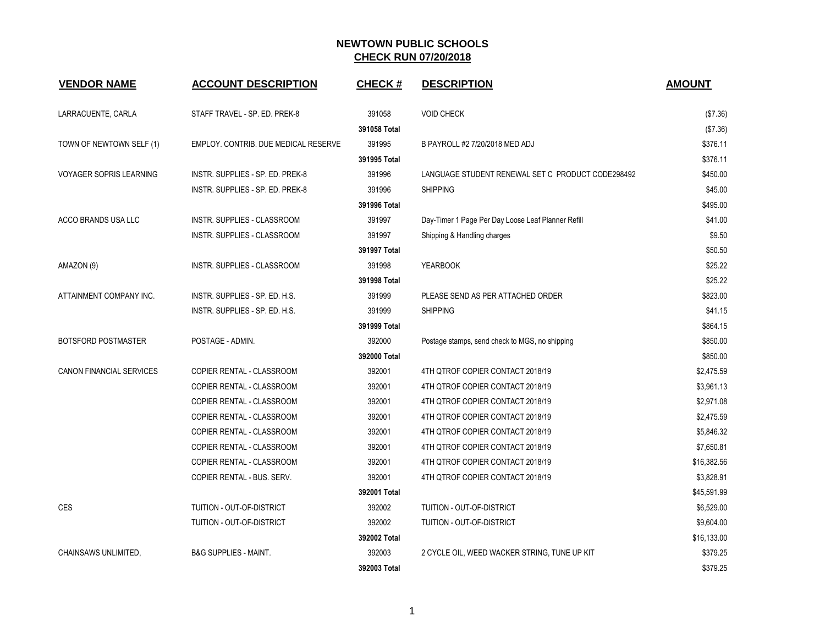| <b>VENDOR NAME</b>              | <b>ACCOUNT DESCRIPTION</b>           | <b>CHECK#</b> | <b>DESCRIPTION</b>                                 | <b>AMOUNT</b> |
|---------------------------------|--------------------------------------|---------------|----------------------------------------------------|---------------|
| LARRACUENTE, CARLA              | STAFF TRAVEL - SP. ED. PREK-8        | 391058        | <b>VOID CHECK</b>                                  | (\$7.36)      |
|                                 |                                      | 391058 Total  |                                                    | (\$7.36)      |
| TOWN OF NEWTOWN SELF (1)        | EMPLOY, CONTRIB, DUE MEDICAL RESERVE | 391995        | B PAYROLL #2 7/20/2018 MED ADJ                     | \$376.11      |
|                                 |                                      | 391995 Total  |                                                    | \$376.11      |
| <b>VOYAGER SOPRIS LEARNING</b>  | INSTR. SUPPLIES - SP. ED. PREK-8     | 391996        | LANGUAGE STUDENT RENEWAL SET C PRODUCT CODE298492  | \$450.00      |
|                                 | INSTR. SUPPLIES - SP. ED. PREK-8     | 391996        | <b>SHIPPING</b>                                    | \$45.00       |
|                                 |                                      | 391996 Total  |                                                    | \$495.00      |
| ACCO BRANDS USA LLC             | INSTR. SUPPLIES - CLASSROOM          | 391997        | Day-Timer 1 Page Per Day Loose Leaf Planner Refill | \$41.00       |
|                                 | <b>INSTR. SUPPLIES - CLASSROOM</b>   | 391997        | Shipping & Handling charges                        | \$9.50        |
|                                 |                                      | 391997 Total  |                                                    | \$50.50       |
| AMAZON (9)                      | INSTR. SUPPLIES - CLASSROOM          | 391998        | <b>YEARBOOK</b>                                    | \$25.22       |
|                                 |                                      | 391998 Total  |                                                    | \$25.22       |
| ATTAINMENT COMPANY INC.         | INSTR. SUPPLIES - SP. ED. H.S.       | 391999        | PLEASE SEND AS PER ATTACHED ORDER                  | \$823.00      |
|                                 | INSTR. SUPPLIES - SP. ED. H.S.       | 391999        | <b>SHIPPING</b>                                    | \$41.15       |
|                                 |                                      | 391999 Total  |                                                    | \$864.15      |
| BOTSFORD POSTMASTER             | POSTAGE - ADMIN.                     | 392000        | Postage stamps, send check to MGS, no shipping     | \$850.00      |
|                                 |                                      | 392000 Total  |                                                    | \$850.00      |
| <b>CANON FINANCIAL SERVICES</b> | COPIER RENTAL - CLASSROOM            | 392001        | 4TH QTROF COPIER CONTACT 2018/19                   | \$2,475.59    |
|                                 | COPIER RENTAL - CLASSROOM            | 392001        | 4TH QTROF COPIER CONTACT 2018/19                   | \$3,961.13    |
|                                 | COPIER RENTAL - CLASSROOM            | 392001        | 4TH QTROF COPIER CONTACT 2018/19                   | \$2,971.08    |
|                                 | COPIER RENTAL - CLASSROOM            | 392001        | 4TH QTROF COPIER CONTACT 2018/19                   | \$2,475.59    |
|                                 | COPIER RENTAL - CLASSROOM            | 392001        | 4TH QTROF COPIER CONTACT 2018/19                   | \$5,846.32    |
|                                 | COPIER RENTAL - CLASSROOM            | 392001        | 4TH QTROF COPIER CONTACT 2018/19                   | \$7,650.81    |
|                                 | COPIER RENTAL - CLASSROOM            | 392001        | 4TH QTROF COPIER CONTACT 2018/19                   | \$16,382.56   |
|                                 | COPIER RENTAL - BUS. SERV.           | 392001        | 4TH QTROF COPIER CONTACT 2018/19                   | \$3,828.91    |
|                                 |                                      | 392001 Total  |                                                    | \$45,591.99   |
| <b>CES</b>                      | TUITION - OUT-OF-DISTRICT            | 392002        | <b>TUITION - OUT-OF-DISTRICT</b>                   | \$6,529.00    |
|                                 | TUITION - OUT-OF-DISTRICT            | 392002        | TUITION - OUT-OF-DISTRICT                          | \$9,604.00    |
|                                 |                                      | 392002 Total  |                                                    | \$16,133.00   |
| CHAINSAWS UNLIMITED.            | <b>B&amp;G SUPPLIES - MAINT.</b>     | 392003        | 2 CYCLE OIL, WEED WACKER STRING, TUNE UP KIT       | \$379.25      |
|                                 |                                      | 392003 Total  |                                                    | \$379.25      |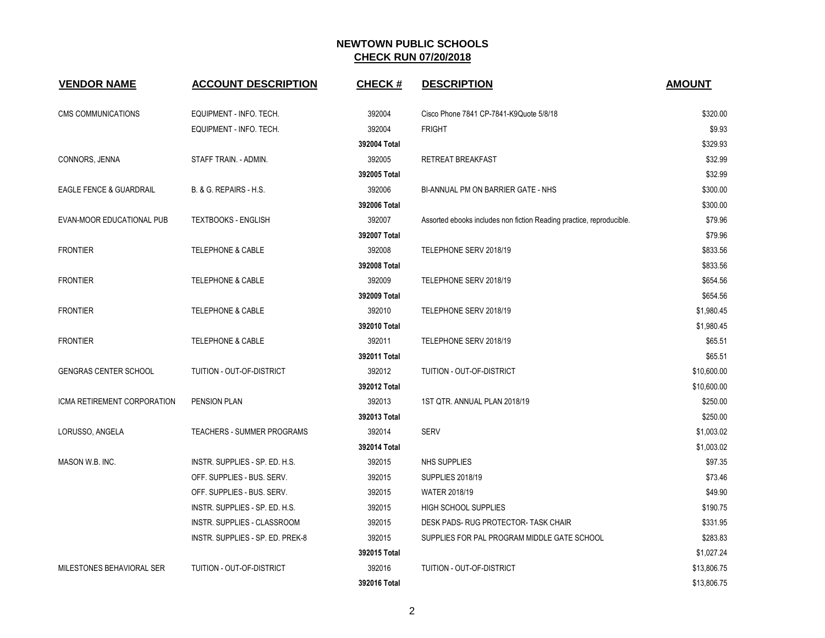| <b>VENDOR NAME</b>                 | <b>ACCOUNT DESCRIPTION</b>        | <b>CHECK#</b> | <b>DESCRIPTION</b>                                                   | <b>AMOUNT</b> |
|------------------------------------|-----------------------------------|---------------|----------------------------------------------------------------------|---------------|
| <b>CMS COMMUNICATIONS</b>          | EQUIPMENT - INFO. TECH.           | 392004        | Cisco Phone 7841 CP-7841-K9Quote 5/8/18                              | \$320.00      |
|                                    | EQUIPMENT - INFO. TECH.           | 392004        | <b>FRIGHT</b>                                                        | \$9.93        |
|                                    |                                   | 392004 Total  |                                                                      | \$329.93      |
| CONNORS, JENNA                     | STAFF TRAIN. - ADMIN.             | 392005        | <b>RETREAT BREAKFAST</b>                                             | \$32.99       |
|                                    |                                   | 392005 Total  |                                                                      | \$32.99       |
| <b>EAGLE FENCE &amp; GUARDRAIL</b> | B. & G. REPAIRS - H.S.            | 392006        | BI-ANNUAL PM ON BARRIER GATE - NHS                                   | \$300.00      |
|                                    |                                   | 392006 Total  |                                                                      | \$300.00      |
| EVAN-MOOR EDUCATIONAL PUB          | <b>TEXTBOOKS - ENGLISH</b>        | 392007        | Assorted ebooks includes non fiction Reading practice, reproducible. | \$79.96       |
|                                    |                                   | 392007 Total  |                                                                      | \$79.96       |
| <b>FRONTIER</b>                    | <b>TELEPHONE &amp; CABLE</b>      | 392008        | TELEPHONE SERV 2018/19                                               | \$833.56      |
|                                    |                                   | 392008 Total  |                                                                      | \$833.56      |
| <b>FRONTIER</b>                    | <b>TELEPHONE &amp; CABLE</b>      | 392009        | TELEPHONE SERV 2018/19                                               | \$654.56      |
|                                    |                                   | 392009 Total  |                                                                      | \$654.56      |
| <b>FRONTIER</b>                    | <b>TELEPHONE &amp; CABLE</b>      | 392010        | TELEPHONE SERV 2018/19                                               | \$1,980.45    |
|                                    |                                   | 392010 Total  |                                                                      | \$1,980.45    |
| <b>FRONTIER</b>                    | <b>TELEPHONE &amp; CABLE</b>      | 392011        | TELEPHONE SERV 2018/19                                               | \$65.51       |
|                                    |                                   | 392011 Total  |                                                                      | \$65.51       |
| <b>GENGRAS CENTER SCHOOL</b>       | TUITION - OUT-OF-DISTRICT         | 392012        | TUITION - OUT-OF-DISTRICT                                            | \$10,600.00   |
|                                    |                                   | 392012 Total  |                                                                      | \$10,600.00   |
| ICMA RETIREMENT CORPORATION        | <b>PENSION PLAN</b>               | 392013        | 1ST QTR. ANNUAL PLAN 2018/19                                         | \$250.00      |
|                                    |                                   | 392013 Total  |                                                                      | \$250.00      |
| LORUSSO, ANGELA                    | <b>TEACHERS - SUMMER PROGRAMS</b> | 392014        | <b>SERV</b>                                                          | \$1,003.02    |
|                                    |                                   | 392014 Total  |                                                                      | \$1,003.02    |
| MASON W.B. INC.                    | INSTR. SUPPLIES - SP. ED. H.S.    | 392015        | <b>NHS SUPPLIES</b>                                                  | \$97.35       |
|                                    | OFF. SUPPLIES - BUS. SERV.        | 392015        | <b>SUPPLIES 2018/19</b>                                              | \$73.46       |
|                                    | OFF. SUPPLIES - BUS. SERV.        | 392015        | <b>WATER 2018/19</b>                                                 | \$49.90       |
|                                    | INSTR. SUPPLIES - SP. ED. H.S.    | 392015        | <b>HIGH SCHOOL SUPPLIES</b>                                          | \$190.75      |
|                                    | INSTR. SUPPLIES - CLASSROOM       | 392015        | DESK PADS-RUG PROTECTOR-TASK CHAIR                                   | \$331.95      |
|                                    | INSTR. SUPPLIES - SP. ED. PREK-8  | 392015        | SUPPLIES FOR PAL PROGRAM MIDDLE GATE SCHOOL                          | \$283.83      |
|                                    |                                   | 392015 Total  |                                                                      | \$1,027.24    |
| MILESTONES BEHAVIORAL SER          | TUITION - OUT-OF-DISTRICT         | 392016        | TUITION - OUT-OF-DISTRICT                                            | \$13,806.75   |
|                                    |                                   | 392016 Total  |                                                                      | \$13,806.75   |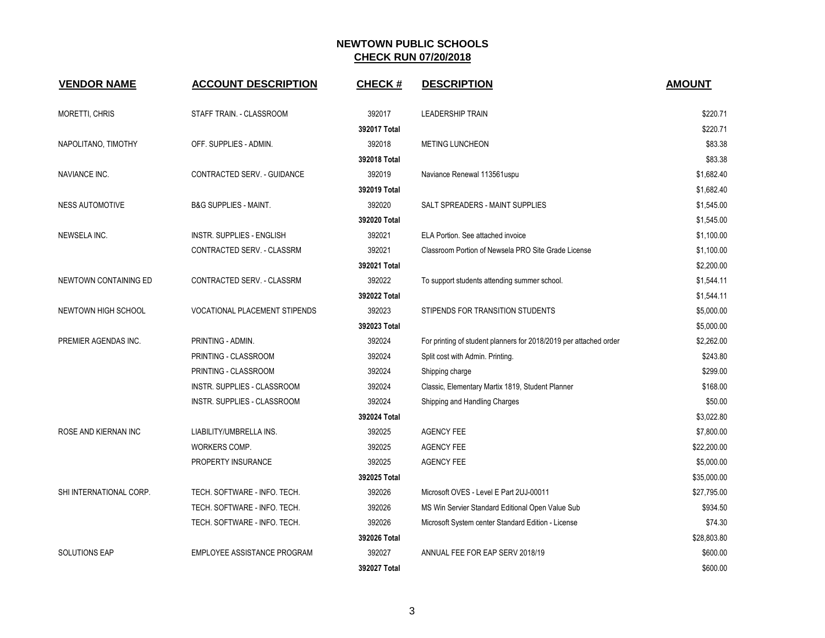| <b>VENDOR NAME</b>      | <b>ACCOUNT DESCRIPTION</b>           | <b>CHECK#</b> | <b>DESCRIPTION</b>                                                | <b>AMOUNT</b> |
|-------------------------|--------------------------------------|---------------|-------------------------------------------------------------------|---------------|
| <b>MORETTI, CHRIS</b>   | STAFF TRAIN. - CLASSROOM             | 392017        | <b>LEADERSHIP TRAIN</b>                                           | \$220.71      |
|                         |                                      | 392017 Total  |                                                                   | \$220.71      |
| NAPOLITANO, TIMOTHY     | OFF. SUPPLIES - ADMIN.               | 392018        | <b>METING LUNCHEON</b>                                            | \$83.38       |
|                         |                                      | 392018 Total  |                                                                   | \$83.38       |
| NAVIANCE INC.           | CONTRACTED SERV. - GUIDANCE          | 392019        | Naviance Renewal 113561uspu                                       | \$1,682.40    |
|                         |                                      | 392019 Total  |                                                                   | \$1,682.40    |
| <b>NESS AUTOMOTIVE</b>  | <b>B&amp;G SUPPLIES - MAINT.</b>     | 392020        | SALT SPREADERS - MAINT SUPPLIES                                   | \$1,545.00    |
|                         |                                      | 392020 Total  |                                                                   | \$1,545.00    |
| NEWSELA INC.            | <b>INSTR. SUPPLIES - ENGLISH</b>     | 392021        | ELA Portion. See attached invoice                                 | \$1,100.00    |
|                         | CONTRACTED SERV. - CLASSRM           | 392021        | Classroom Portion of Newsela PRO Site Grade License               | \$1,100.00    |
|                         |                                      | 392021 Total  |                                                                   | \$2,200.00    |
| NEWTOWN CONTAINING ED   | CONTRACTED SERV. - CLASSRM           | 392022        | To support students attending summer school.                      | \$1,544.11    |
|                         |                                      | 392022 Total  |                                                                   | \$1,544.11    |
| NEWTOWN HIGH SCHOOL     | <b>VOCATIONAL PLACEMENT STIPENDS</b> | 392023        | STIPENDS FOR TRANSITION STUDENTS                                  | \$5,000.00    |
|                         |                                      | 392023 Total  |                                                                   | \$5,000.00    |
| PREMIER AGENDAS INC.    | PRINTING - ADMIN.                    | 392024        | For printing of student planners for 2018/2019 per attached order | \$2,262.00    |
|                         | PRINTING - CLASSROOM                 | 392024        | Split cost with Admin. Printing.                                  | \$243.80      |
|                         | PRINTING - CLASSROOM                 | 392024        | Shipping charge                                                   | \$299.00      |
|                         | <b>INSTR. SUPPLIES - CLASSROOM</b>   | 392024        | Classic, Elementary Martix 1819, Student Planner                  | \$168.00      |
|                         | INSTR. SUPPLIES - CLASSROOM          | 392024        | Shipping and Handling Charges                                     | \$50.00       |
|                         |                                      | 392024 Total  |                                                                   | \$3,022.80    |
| ROSE AND KIERNAN INC    | LIABILITY/UMBRELLA INS.              | 392025        | <b>AGENCY FEE</b>                                                 | \$7,800.00    |
|                         | WORKERS COMP.                        | 392025        | <b>AGENCY FEE</b>                                                 | \$22,200.00   |
|                         | PROPERTY INSURANCE                   | 392025        | <b>AGENCY FEE</b>                                                 | \$5,000.00    |
|                         |                                      | 392025 Total  |                                                                   | \$35,000.00   |
| SHI INTERNATIONAL CORP. | TECH. SOFTWARE - INFO. TECH.         | 392026        | Microsoft OVES - Level E Part 2UJ-00011                           | \$27,795.00   |
|                         | TECH. SOFTWARE - INFO. TECH.         | 392026        | MS Win Servier Standard Editional Open Value Sub                  | \$934.50      |
|                         | TECH. SOFTWARE - INFO. TECH.         | 392026        | Microsoft System center Standard Edition - License                | \$74.30       |
|                         |                                      | 392026 Total  |                                                                   | \$28,803.80   |
| <b>SOLUTIONS EAP</b>    | EMPLOYEE ASSISTANCE PROGRAM          | 392027        | ANNUAL FEE FOR EAP SERV 2018/19                                   | \$600.00      |
|                         |                                      | 392027 Total  |                                                                   | \$600.00      |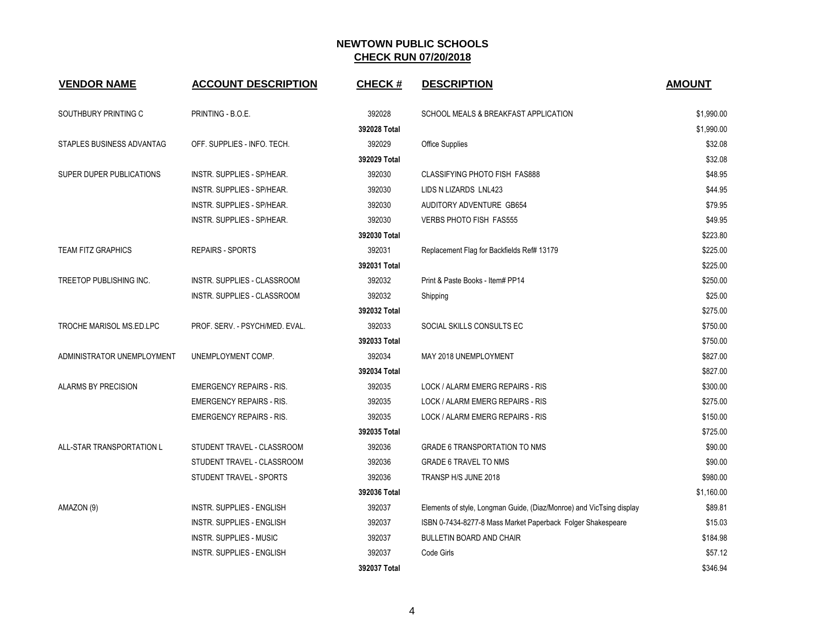| <b>VENDOR NAME</b>             | <b>ACCOUNT DESCRIPTION</b>         | <b>CHECK#</b> | <b>DESCRIPTION</b>                                                   | <b>AMOUNT</b> |
|--------------------------------|------------------------------------|---------------|----------------------------------------------------------------------|---------------|
| SOUTHBURY PRINTING C           | PRINTING - B.O.E.                  | 392028        | SCHOOL MEALS & BREAKFAST APPLICATION                                 | \$1,990.00    |
|                                |                                    | 392028 Total  |                                                                      | \$1,990.00    |
| STAPLES BUSINESS ADVANTAG      | OFF. SUPPLIES - INFO. TECH.        | 392029        | <b>Office Supplies</b>                                               | \$32.08       |
|                                |                                    | 392029 Total  |                                                                      | \$32.08       |
| SUPER DUPER PUBLICATIONS       | <b>INSTR. SUPPLIES - SP/HEAR.</b>  | 392030        | <b>CLASSIFYING PHOTO FISH FAS888</b>                                 | \$48.95       |
|                                | <b>INSTR. SUPPLIES - SP/HEAR.</b>  | 392030        | LIDS N LIZARDS LNL423                                                | \$44.95       |
|                                | <b>INSTR. SUPPLIES - SP/HEAR.</b>  | 392030        | AUDITORY ADVENTURE GB654                                             | \$79.95       |
|                                | INSTR. SUPPLIES - SP/HEAR.         | 392030        | <b>VERBS PHOTO FISH FAS555</b>                                       | \$49.95       |
|                                |                                    | 392030 Total  |                                                                      | \$223.80      |
| <b>TEAM FITZ GRAPHICS</b>      | REPAIRS - SPORTS                   | 392031        | Replacement Flag for Backfields Ref# 13179                           | \$225.00      |
|                                |                                    | 392031 Total  |                                                                      | \$225.00      |
| <b>TREETOP PUBLISHING INC.</b> | <b>INSTR. SUPPLIES - CLASSROOM</b> | 392032        | Print & Paste Books - Item# PP14                                     | \$250.00      |
|                                | <b>INSTR. SUPPLIES - CLASSROOM</b> | 392032        | Shipping                                                             | \$25.00       |
|                                |                                    | 392032 Total  |                                                                      | \$275.00      |
| TROCHE MARISOL MS.ED.LPC       | PROF. SERV. - PSYCH/MED. EVAL.     | 392033        | SOCIAL SKILLS CONSULTS EC                                            | \$750.00      |
|                                |                                    | 392033 Total  |                                                                      | \$750.00      |
| ADMINISTRATOR UNEMPLOYMENT     | UNEMPLOYMENT COMP.                 | 392034        | MAY 2018 UNEMPLOYMENT                                                | \$827.00      |
|                                |                                    | 392034 Total  |                                                                      | \$827.00      |
| <b>ALARMS BY PRECISION</b>     | <b>EMERGENCY REPAIRS - RIS.</b>    | 392035        | LOCK / ALARM EMERG REPAIRS - RIS                                     | \$300.00      |
|                                | <b>EMERGENCY REPAIRS - RIS.</b>    | 392035        | LOCK / ALARM EMERG REPAIRS - RIS                                     | \$275.00      |
|                                | <b>EMERGENCY REPAIRS - RIS.</b>    | 392035        | LOCK / ALARM EMERG REPAIRS - RIS                                     | \$150.00      |
|                                |                                    | 392035 Total  |                                                                      | \$725.00      |
| ALL-STAR TRANSPORTATION L      | STUDENT TRAVEL - CLASSROOM         | 392036        | <b>GRADE 6 TRANSPORTATION TO NMS</b>                                 | \$90.00       |
|                                | STUDENT TRAVEL - CLASSROOM         | 392036        | <b>GRADE 6 TRAVEL TO NMS</b>                                         | \$90.00       |
|                                | STUDENT TRAVEL - SPORTS            | 392036        | TRANSP H/S JUNE 2018                                                 | \$980.00      |
|                                |                                    | 392036 Total  |                                                                      | \$1,160.00    |
| AMAZON (9)                     | <b>INSTR. SUPPLIES - ENGLISH</b>   | 392037        | Elements of style, Longman Guide, (Diaz/Monroe) and VicTsing display | \$89.81       |
|                                | <b>INSTR. SUPPLIES - ENGLISH</b>   | 392037        | ISBN 0-7434-8277-8 Mass Market Paperback Folger Shakespeare          | \$15.03       |
|                                | <b>INSTR. SUPPLIES - MUSIC</b>     | 392037        | <b>BULLETIN BOARD AND CHAIR</b>                                      | \$184.98      |
|                                | <b>INSTR. SUPPLIES - ENGLISH</b>   | 392037        | Code Girls                                                           | \$57.12       |
|                                |                                    | 392037 Total  |                                                                      | \$346.94      |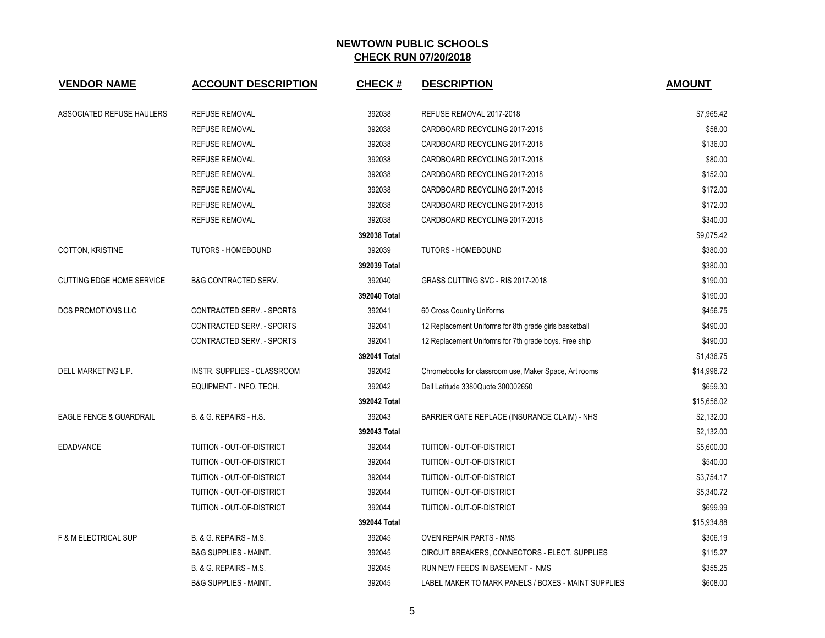| <b>VENDOR NAME</b>                 | <b>ACCOUNT DESCRIPTION</b>       | <b>CHECK#</b> | <b>DESCRIPTION</b>                                     | <b>AMOUNT</b> |
|------------------------------------|----------------------------------|---------------|--------------------------------------------------------|---------------|
| ASSOCIATED REFUSE HAULERS          | <b>REFUSE REMOVAL</b>            | 392038        | REFUSE REMOVAL 2017-2018                               | \$7,965.42    |
|                                    | <b>REFUSE REMOVAL</b>            | 392038        | CARDBOARD RECYCLING 2017-2018                          | \$58.00       |
|                                    | <b>REFUSE REMOVAL</b>            | 392038        | CARDBOARD RECYCLING 2017-2018                          | \$136.00      |
|                                    | <b>REFUSE REMOVAL</b>            | 392038        | CARDBOARD RECYCLING 2017-2018                          | \$80.00       |
|                                    | <b>REFUSE REMOVAL</b>            | 392038        | CARDBOARD RECYCLING 2017-2018                          | \$152.00      |
|                                    | <b>REFUSE REMOVAL</b>            | 392038        | CARDBOARD RECYCLING 2017-2018                          | \$172.00      |
|                                    | <b>REFUSE REMOVAL</b>            | 392038        | CARDBOARD RECYCLING 2017-2018                          | \$172.00      |
|                                    | <b>REFUSE REMOVAL</b>            | 392038        | CARDBOARD RECYCLING 2017-2018                          | \$340.00      |
|                                    |                                  | 392038 Total  |                                                        | \$9,075.42    |
| COTTON, KRISTINE                   | <b>TUTORS - HOMEBOUND</b>        | 392039        | <b>TUTORS - HOMEBOUND</b>                              | \$380.00      |
|                                    |                                  | 392039 Total  |                                                        | \$380.00      |
| <b>CUTTING EDGE HOME SERVICE</b>   | <b>B&amp;G CONTRACTED SERV.</b>  | 392040        | GRASS CUTTING SVC - RIS 2017-2018                      | \$190.00      |
|                                    |                                  | 392040 Total  |                                                        | \$190.00      |
| DCS PROMOTIONS LLC                 | CONTRACTED SERV. - SPORTS        | 392041        | 60 Cross Country Uniforms                              | \$456.75      |
|                                    | CONTRACTED SERV. - SPORTS        | 392041        | 12 Replacement Uniforms for 8th grade girls basketball | \$490.00      |
|                                    | CONTRACTED SERV. - SPORTS        | 392041        | 12 Replacement Uniforms for 7th grade boys. Free ship  | \$490.00      |
|                                    |                                  | 392041 Total  |                                                        | \$1,436.75    |
| DELL MARKETING L.P.                | INSTR. SUPPLIES - CLASSROOM      | 392042        | Chromebooks for classroom use, Maker Space, Art rooms  | \$14,996.72   |
|                                    | EQUIPMENT - INFO. TECH.          | 392042        | Dell Latitude 3380Quote 300002650                      | \$659.30      |
|                                    |                                  | 392042 Total  |                                                        | \$15,656.02   |
| <b>EAGLE FENCE &amp; GUARDRAIL</b> | B. & G. REPAIRS - H.S.           | 392043        | BARRIER GATE REPLACE (INSURANCE CLAIM) - NHS           | \$2,132.00    |
|                                    |                                  | 392043 Total  |                                                        | \$2,132.00    |
| <b>EDADVANCE</b>                   | TUITION - OUT-OF-DISTRICT        | 392044        | TUITION - OUT-OF-DISTRICT                              | \$5,600.00    |
|                                    | TUITION - OUT-OF-DISTRICT        | 392044        | TUITION - OUT-OF-DISTRICT                              | \$540.00      |
|                                    | TUITION - OUT-OF-DISTRICT        | 392044        | TUITION - OUT-OF-DISTRICT                              | \$3,754.17    |
|                                    | TUITION - OUT-OF-DISTRICT        | 392044        | TUITION - OUT-OF-DISTRICT                              | \$5,340.72    |
|                                    | TUITION - OUT-OF-DISTRICT        | 392044        | TUITION - OUT-OF-DISTRICT                              | \$699.99      |
|                                    |                                  | 392044 Total  |                                                        | \$15,934.88   |
| <b>F &amp; M ELECTRICAL SUP</b>    | B. & G. REPAIRS - M.S.           | 392045        | <b>OVEN REPAIR PARTS - NMS</b>                         | \$306.19      |
|                                    | <b>B&amp;G SUPPLIES - MAINT.</b> | 392045        | CIRCUIT BREAKERS, CONNECTORS - ELECT. SUPPLIES         | \$115.27      |
|                                    | B. & G. REPAIRS - M.S.           | 392045        | RUN NEW FEEDS IN BASEMENT - NMS                        | \$355.25      |
|                                    | <b>B&amp;G SUPPLIES - MAINT.</b> | 392045        | LABEL MAKER TO MARK PANELS / BOXES - MAINT SUPPLIES    | \$608.00      |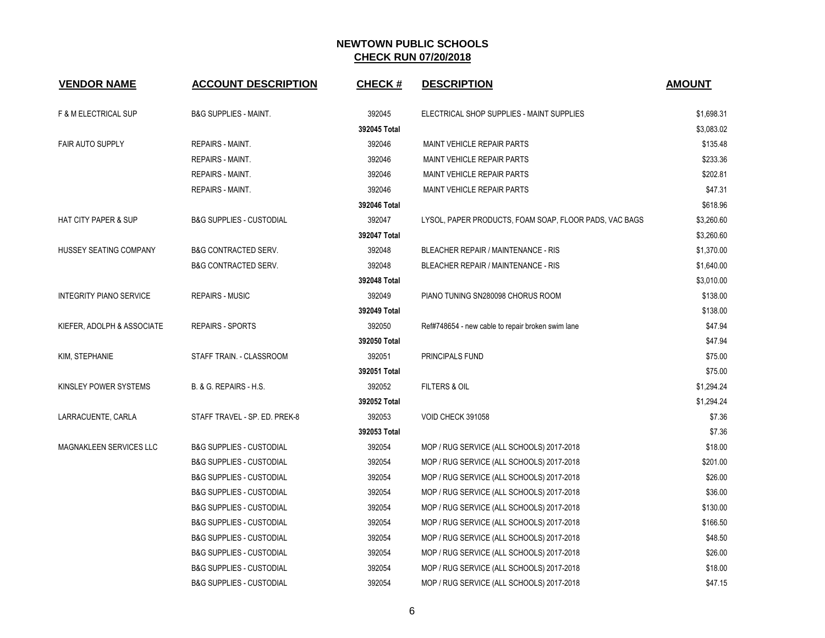| <b>VENDOR NAME</b>              | <b>ACCOUNT DESCRIPTION</b>          | <b>CHECK#</b> | <b>DESCRIPTION</b>                                     | <b>AMOUNT</b> |
|---------------------------------|-------------------------------------|---------------|--------------------------------------------------------|---------------|
| <b>F &amp; M ELECTRICAL SUP</b> | <b>B&amp;G SUPPLIES - MAINT.</b>    | 392045        | ELECTRICAL SHOP SUPPLIES - MAINT SUPPLIES              | \$1,698.31    |
|                                 |                                     | 392045 Total  |                                                        | \$3,083.02    |
| <b>FAIR AUTO SUPPLY</b>         | REPAIRS - MAINT.                    | 392046        | <b>MAINT VEHICLE REPAIR PARTS</b>                      | \$135.48      |
|                                 | REPAIRS - MAINT.                    | 392046        | MAINT VEHICLE REPAIR PARTS                             | \$233.36      |
|                                 | <b>REPAIRS - MAINT.</b>             | 392046        | MAINT VEHICLE REPAIR PARTS                             | \$202.81      |
|                                 | <b>REPAIRS - MAINT.</b>             | 392046        | <b>MAINT VEHICLE REPAIR PARTS</b>                      | \$47.31       |
|                                 |                                     | 392046 Total  |                                                        | \$618.96      |
| <b>HAT CITY PAPER &amp; SUP</b> | <b>B&amp;G SUPPLIES - CUSTODIAL</b> | 392047        | LYSOL, PAPER PRODUCTS, FOAM SOAP, FLOOR PADS, VAC BAGS | \$3,260.60    |
|                                 |                                     | 392047 Total  |                                                        | \$3,260.60    |
| HUSSEY SEATING COMPANY          | <b>B&amp;G CONTRACTED SERV.</b>     | 392048        | <b>BLEACHER REPAIR / MAINTENANCE - RIS</b>             | \$1,370.00    |
|                                 | <b>B&amp;G CONTRACTED SERV.</b>     | 392048        | <b>BLEACHER REPAIR / MAINTENANCE - RIS</b>             | \$1,640.00    |
|                                 |                                     | 392048 Total  |                                                        | \$3,010.00    |
| <b>INTEGRITY PIANO SERVICE</b>  | <b>REPAIRS - MUSIC</b>              | 392049        | PIANO TUNING SN280098 CHORUS ROOM                      | \$138.00      |
|                                 |                                     | 392049 Total  |                                                        | \$138.00      |
| KIEFER, ADOLPH & ASSOCIATE      | <b>REPAIRS - SPORTS</b>             | 392050        | Ref#748654 - new cable to repair broken swim lane      | \$47.94       |
|                                 |                                     | 392050 Total  |                                                        | \$47.94       |
| KIM, STEPHANIE                  | STAFF TRAIN. - CLASSROOM            | 392051        | PRINCIPALS FUND                                        | \$75.00       |
|                                 |                                     | 392051 Total  |                                                        | \$75.00       |
| KINSLEY POWER SYSTEMS           | B. & G. REPAIRS - H.S.              | 392052        | <b>FILTERS &amp; OIL</b>                               | \$1,294.24    |
|                                 |                                     | 392052 Total  |                                                        | \$1,294.24    |
| LARRACUENTE, CARLA              | STAFF TRAVEL - SP. ED. PREK-8       | 392053        | VOID CHECK 391058                                      | \$7.36        |
|                                 |                                     | 392053 Total  |                                                        | \$7.36        |
| MAGNAKLEEN SERVICES LLC         | <b>B&amp;G SUPPLIES - CUSTODIAL</b> | 392054        | MOP / RUG SERVICE (ALL SCHOOLS) 2017-2018              | \$18.00       |
|                                 | <b>B&amp;G SUPPLIES - CUSTODIAL</b> | 392054        | MOP / RUG SERVICE (ALL SCHOOLS) 2017-2018              | \$201.00      |
|                                 | <b>B&amp;G SUPPLIES - CUSTODIAL</b> | 392054        | MOP / RUG SERVICE (ALL SCHOOLS) 2017-2018              | \$26.00       |
|                                 | <b>B&amp;G SUPPLIES - CUSTODIAL</b> | 392054        | MOP / RUG SERVICE (ALL SCHOOLS) 2017-2018              | \$36.00       |
|                                 | <b>B&amp;G SUPPLIES - CUSTODIAL</b> | 392054        | MOP / RUG SERVICE (ALL SCHOOLS) 2017-2018              | \$130.00      |
|                                 | <b>B&amp;G SUPPLIES - CUSTODIAL</b> | 392054        | MOP / RUG SERVICE (ALL SCHOOLS) 2017-2018              | \$166.50      |
|                                 | <b>B&amp;G SUPPLIES - CUSTODIAL</b> | 392054        | MOP / RUG SERVICE (ALL SCHOOLS) 2017-2018              | \$48.50       |
|                                 | <b>B&amp;G SUPPLIES - CUSTODIAL</b> | 392054        | MOP / RUG SERVICE (ALL SCHOOLS) 2017-2018              | \$26.00       |
|                                 | <b>B&amp;G SUPPLIES - CUSTODIAL</b> | 392054        | MOP / RUG SERVICE (ALL SCHOOLS) 2017-2018              | \$18.00       |
|                                 | <b>B&amp;G SUPPLIES - CUSTODIAL</b> | 392054        | MOP / RUG SERVICE (ALL SCHOOLS) 2017-2018              | \$47.15       |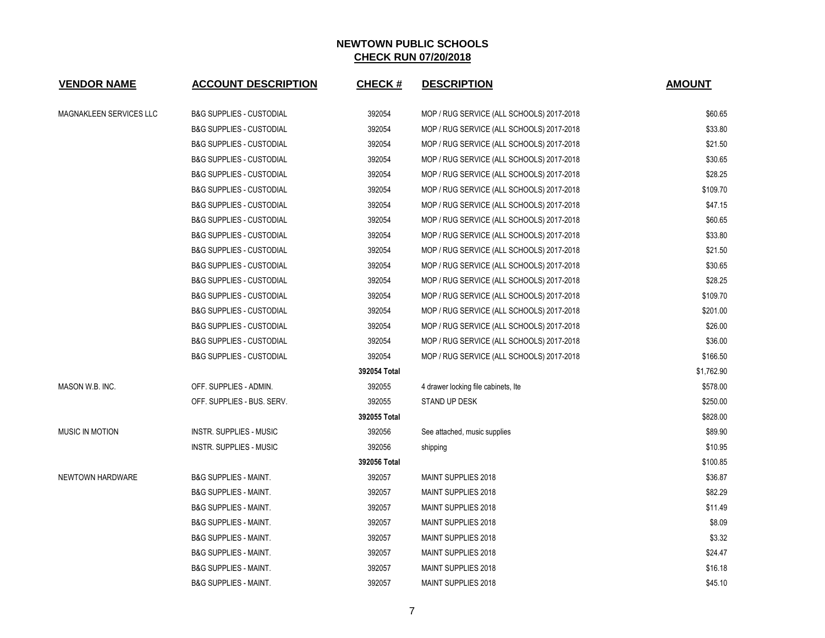| <b>VENDOR NAME</b>      | <b>ACCOUNT DESCRIPTION</b>          | <b>CHECK#</b> | <b>DESCRIPTION</b>                        | <b>AMOUNT</b> |
|-------------------------|-------------------------------------|---------------|-------------------------------------------|---------------|
| MAGNAKLEEN SERVICES LLC | <b>B&amp;G SUPPLIES - CUSTODIAL</b> | 392054        | MOP / RUG SERVICE (ALL SCHOOLS) 2017-2018 | \$60.65       |
|                         | <b>B&amp;G SUPPLIES - CUSTODIAL</b> | 392054        | MOP / RUG SERVICE (ALL SCHOOLS) 2017-2018 | \$33.80       |
|                         | <b>B&amp;G SUPPLIES - CUSTODIAL</b> | 392054        | MOP / RUG SERVICE (ALL SCHOOLS) 2017-2018 | \$21.50       |
|                         | <b>B&amp;G SUPPLIES - CUSTODIAL</b> | 392054        | MOP / RUG SERVICE (ALL SCHOOLS) 2017-2018 | \$30.65       |
|                         | <b>B&amp;G SUPPLIES - CUSTODIAL</b> | 392054        | MOP / RUG SERVICE (ALL SCHOOLS) 2017-2018 | \$28.25       |
|                         | <b>B&amp;G SUPPLIES - CUSTODIAL</b> | 392054        | MOP / RUG SERVICE (ALL SCHOOLS) 2017-2018 | \$109.70      |
|                         | <b>B&amp;G SUPPLIES - CUSTODIAL</b> | 392054        | MOP / RUG SERVICE (ALL SCHOOLS) 2017-2018 | \$47.15       |
|                         | <b>B&amp;G SUPPLIES - CUSTODIAL</b> | 392054        | MOP / RUG SERVICE (ALL SCHOOLS) 2017-2018 | \$60.65       |
|                         | <b>B&amp;G SUPPLIES - CUSTODIAL</b> | 392054        | MOP / RUG SERVICE (ALL SCHOOLS) 2017-2018 | \$33.80       |
|                         | <b>B&amp;G SUPPLIES - CUSTODIAL</b> | 392054        | MOP / RUG SERVICE (ALL SCHOOLS) 2017-2018 | \$21.50       |
|                         | <b>B&amp;G SUPPLIES - CUSTODIAL</b> | 392054        | MOP / RUG SERVICE (ALL SCHOOLS) 2017-2018 | \$30.65       |
|                         | <b>B&amp;G SUPPLIES - CUSTODIAL</b> | 392054        | MOP / RUG SERVICE (ALL SCHOOLS) 2017-2018 | \$28.25       |
|                         | <b>B&amp;G SUPPLIES - CUSTODIAL</b> | 392054        | MOP / RUG SERVICE (ALL SCHOOLS) 2017-2018 | \$109.70      |
|                         | <b>B&amp;G SUPPLIES - CUSTODIAL</b> | 392054        | MOP / RUG SERVICE (ALL SCHOOLS) 2017-2018 | \$201.00      |
|                         | <b>B&amp;G SUPPLIES - CUSTODIAL</b> | 392054        | MOP / RUG SERVICE (ALL SCHOOLS) 2017-2018 | \$26.00       |
|                         | <b>B&amp;G SUPPLIES - CUSTODIAL</b> | 392054        | MOP / RUG SERVICE (ALL SCHOOLS) 2017-2018 | \$36.00       |
|                         | <b>B&amp;G SUPPLIES - CUSTODIAL</b> | 392054        | MOP / RUG SERVICE (ALL SCHOOLS) 2017-2018 | \$166.50      |
|                         |                                     | 392054 Total  |                                           | \$1,762.90    |
| MASON W.B. INC.         | OFF. SUPPLIES - ADMIN.              | 392055        | 4 drawer locking file cabinets, Ite       | \$578.00      |
|                         | OFF. SUPPLIES - BUS. SERV.          | 392055        | STAND UP DESK                             | \$250.00      |
|                         |                                     | 392055 Total  |                                           | \$828.00      |
| <b>MUSIC IN MOTION</b>  | <b>INSTR. SUPPLIES - MUSIC</b>      | 392056        | See attached, music supplies              | \$89.90       |
|                         | INSTR. SUPPLIES - MUSIC             | 392056        | shipping                                  | \$10.95       |
|                         |                                     | 392056 Total  |                                           | \$100.85      |
| <b>NEWTOWN HARDWARE</b> | <b>B&amp;G SUPPLIES - MAINT.</b>    | 392057        | <b>MAINT SUPPLIES 2018</b>                | \$36.87       |
|                         | <b>B&amp;G SUPPLIES - MAINT.</b>    | 392057        | MAINT SUPPLIES 2018                       | \$82.29       |
|                         | <b>B&amp;G SUPPLIES - MAINT.</b>    | 392057        | MAINT SUPPLIES 2018                       | \$11.49       |
|                         | <b>B&amp;G SUPPLIES - MAINT.</b>    | 392057        | <b>MAINT SUPPLIES 2018</b>                | \$8.09        |
|                         | <b>B&amp;G SUPPLIES - MAINT.</b>    | 392057        | MAINT SUPPLIES 2018                       | \$3.32        |
|                         | <b>B&amp;G SUPPLIES - MAINT.</b>    | 392057        | <b>MAINT SUPPLIES 2018</b>                | \$24.47       |
|                         | <b>B&amp;G SUPPLIES - MAINT.</b>    | 392057        | MAINT SUPPLIES 2018                       | \$16.18       |
|                         | <b>B&amp;G SUPPLIES - MAINT.</b>    | 392057        | <b>MAINT SUPPLIES 2018</b>                | \$45.10       |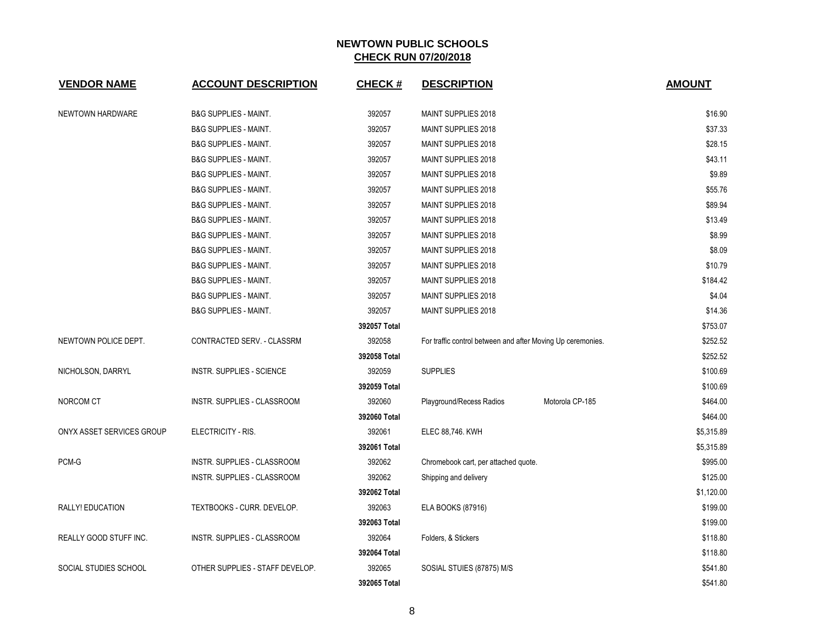| <b>VENDOR NAME</b>        | <b>ACCOUNT DESCRIPTION</b>       | <b>CHECK#</b> | <b>DESCRIPTION</b>                                          |                 | <b>AMOUNT</b> |
|---------------------------|----------------------------------|---------------|-------------------------------------------------------------|-----------------|---------------|
| NEWTOWN HARDWARE          | <b>B&amp;G SUPPLIES - MAINT.</b> | 392057        | MAINT SUPPLIES 2018                                         |                 | \$16.90       |
|                           | <b>B&amp;G SUPPLIES - MAINT.</b> | 392057        | MAINT SUPPLIES 2018                                         |                 | \$37.33       |
|                           | <b>B&amp;G SUPPLIES - MAINT.</b> | 392057        | MAINT SUPPLIES 2018                                         |                 | \$28.15       |
|                           | <b>B&amp;G SUPPLIES - MAINT.</b> | 392057        | MAINT SUPPLIES 2018                                         |                 | \$43.11       |
|                           | <b>B&amp;G SUPPLIES - MAINT.</b> | 392057        | MAINT SUPPLIES 2018                                         |                 | \$9.89        |
|                           | <b>B&amp;G SUPPLIES - MAINT.</b> | 392057        | MAINT SUPPLIES 2018                                         |                 | \$55.76       |
|                           | <b>B&amp;G SUPPLIES - MAINT.</b> | 392057        | MAINT SUPPLIES 2018                                         |                 | \$89.94       |
|                           | <b>B&amp;G SUPPLIES - MAINT.</b> | 392057        | <b>MAINT SUPPLIES 2018</b>                                  |                 | \$13.49       |
|                           | <b>B&amp;G SUPPLIES - MAINT.</b> | 392057        | MAINT SUPPLIES 2018                                         |                 | \$8.99        |
|                           | <b>B&amp;G SUPPLIES - MAINT.</b> | 392057        | MAINT SUPPLIES 2018                                         |                 | \$8.09        |
|                           | <b>B&amp;G SUPPLIES - MAINT.</b> | 392057        | <b>MAINT SUPPLIES 2018</b>                                  |                 | \$10.79       |
|                           | <b>B&amp;G SUPPLIES - MAINT.</b> | 392057        | MAINT SUPPLIES 2018                                         |                 | \$184.42      |
|                           | <b>B&amp;G SUPPLIES - MAINT.</b> | 392057        | MAINT SUPPLIES 2018                                         |                 | \$4.04        |
|                           | <b>B&amp;G SUPPLIES - MAINT.</b> | 392057        | MAINT SUPPLIES 2018                                         |                 | \$14.36       |
|                           |                                  | 392057 Total  |                                                             |                 | \$753.07      |
| NEWTOWN POLICE DEPT.      | CONTRACTED SERV. - CLASSRM       | 392058        | For traffic control between and after Moving Up ceremonies. |                 | \$252.52      |
|                           |                                  | 392058 Total  |                                                             |                 | \$252.52      |
| NICHOLSON, DARRYL         | <b>INSTR. SUPPLIES - SCIENCE</b> | 392059        | <b>SUPPLIES</b>                                             |                 | \$100.69      |
|                           |                                  | 392059 Total  |                                                             |                 | \$100.69      |
| NORCOM CT                 | INSTR. SUPPLIES - CLASSROOM      | 392060        | Playground/Recess Radios                                    | Motorola CP-185 | \$464.00      |
|                           |                                  | 392060 Total  |                                                             |                 | \$464.00      |
| ONYX ASSET SERVICES GROUP | ELECTRICITY - RIS.               | 392061        | ELEC 88,746. KWH                                            |                 | \$5,315.89    |
|                           |                                  | 392061 Total  |                                                             |                 | \$5,315.89    |
| PCM-G                     | INSTR. SUPPLIES - CLASSROOM      | 392062        | Chromebook cart, per attached quote.                        |                 | \$995.00      |
|                           | INSTR. SUPPLIES - CLASSROOM      | 392062        | Shipping and delivery                                       |                 | \$125.00      |
|                           |                                  | 392062 Total  |                                                             |                 | \$1,120.00    |
| RALLY! EDUCATION          | TEXTBOOKS - CURR. DEVELOP.       | 392063        | ELA BOOKS (87916)                                           |                 | \$199.00      |
|                           |                                  | 392063 Total  |                                                             |                 | \$199.00      |
| REALLY GOOD STUFF INC.    | INSTR. SUPPLIES - CLASSROOM      | 392064        | Folders, & Stickers                                         |                 | \$118.80      |
|                           |                                  | 392064 Total  |                                                             |                 | \$118.80      |
| SOCIAL STUDIES SCHOOL     | OTHER SUPPLIES - STAFF DEVELOP.  | 392065        | SOSIAL STUIES (87875) M/S                                   |                 | \$541.80      |
|                           |                                  | 392065 Total  |                                                             |                 | \$541.80      |